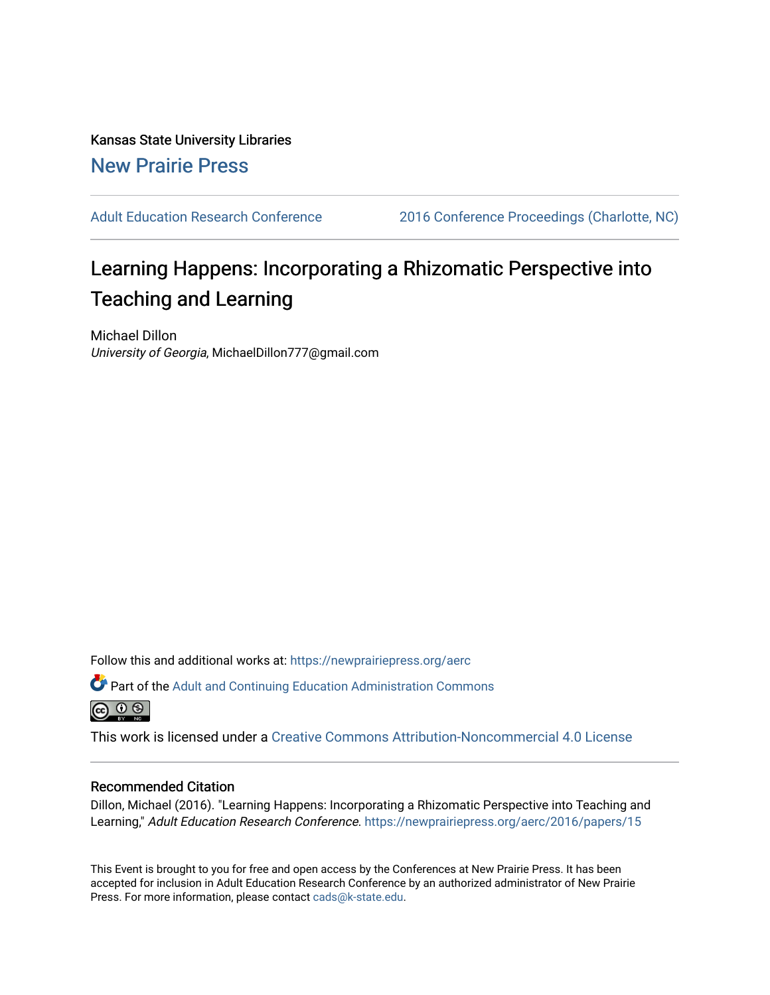Kansas State University Libraries [New Prairie Press](https://newprairiepress.org/) 

[Adult Education Research Conference](https://newprairiepress.org/aerc) [2016 Conference Proceedings \(Charlotte, NC\)](https://newprairiepress.org/aerc/2016) 

# Learning Happens: Incorporating a Rhizomatic Perspective into Teaching and Learning

Michael Dillon University of Georgia, MichaelDillon777@gmail.com

Follow this and additional works at: [https://newprairiepress.org/aerc](https://newprairiepress.org/aerc?utm_source=newprairiepress.org%2Faerc%2F2016%2Fpapers%2F15&utm_medium=PDF&utm_campaign=PDFCoverPages)

Part of the [Adult and Continuing Education Administration Commons](http://network.bepress.com/hgg/discipline/789?utm_source=newprairiepress.org%2Faerc%2F2016%2Fpapers%2F15&utm_medium=PDF&utm_campaign=PDFCoverPages) <u>ெ ெ ⊜</u>

This work is licensed under a [Creative Commons Attribution-Noncommercial 4.0 License](https://creativecommons.org/licenses/by-nc/4.0/)

# Recommended Citation

Dillon, Michael (2016). "Learning Happens: Incorporating a Rhizomatic Perspective into Teaching and Learning," Adult Education Research Conference.<https://newprairiepress.org/aerc/2016/papers/15>

This Event is brought to you for free and open access by the Conferences at New Prairie Press. It has been accepted for inclusion in Adult Education Research Conference by an authorized administrator of New Prairie Press. For more information, please contact [cads@k-state.edu.](mailto:cads@k-state.edu)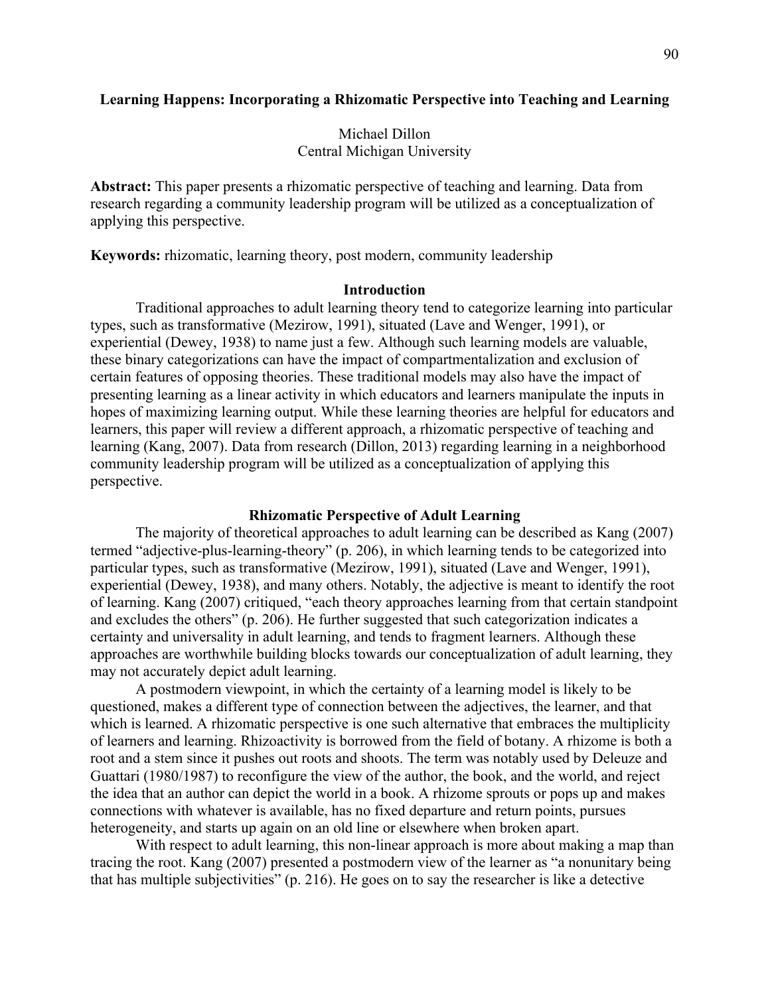# **Learning Happens: Incorporating a Rhizomatic Perspective into Teaching and Learning**

# Michael Dillon Central Michigan University

**Abstract:** This paper presents a rhizomatic perspective of teaching and learning. Data from research regarding a community leadership program will be utilized as a conceptualization of applying this perspective.

**Keywords:** rhizomatic, learning theory, post modern, community leadership

# **Introduction**

Traditional approaches to adult learning theory tend to categorize learning into particular types, such as transformative (Mezirow, 1991), situated (Lave and Wenger, 1991), or experiential (Dewey, 1938) to name just a few. Although such learning models are valuable, these binary categorizations can have the impact of compartmentalization and exclusion of certain features of opposing theories. These traditional models may also have the impact of presenting learning as a linear activity in which educators and learners manipulate the inputs in hopes of maximizing learning output. While these learning theories are helpful for educators and learners, this paper will review a different approach, a rhizomatic perspective of teaching and learning (Kang, 2007). Data from research (Dillon, 2013) regarding learning in a neighborhood community leadership program will be utilized as a conceptualization of applying this perspective.

## **Rhizomatic Perspective of Adult Learning**

The majority of theoretical approaches to adult learning can be described as Kang (2007) termed "adjective-plus-learning-theory" (p. 206), in which learning tends to be categorized into particular types, such as transformative (Mezirow, 1991), situated (Lave and Wenger, 1991), experiential (Dewey, 1938), and many others. Notably, the adjective is meant to identify the root of learning. Kang (2007) critiqued, "each theory approaches learning from that certain standpoint and excludes the others" (p. 206). He further suggested that such categorization indicates a certainty and universality in adult learning, and tends to fragment learners. Although these approaches are worthwhile building blocks towards our conceptualization of adult learning, they may not accurately depict adult learning.

A postmodern viewpoint, in which the certainty of a learning model is likely to be questioned, makes a different type of connection between the adjectives, the learner, and that which is learned. A rhizomatic perspective is one such alternative that embraces the multiplicity of learners and learning. Rhizoactivity is borrowed from the field of botany. A rhizome is both a root and a stem since it pushes out roots and shoots. The term was notably used by Deleuze and Guattari (1980/1987) to reconfigure the view of the author, the book, and the world, and reject the idea that an author can depict the world in a book. A rhizome sprouts or pops up and makes connections with whatever is available, has no fixed departure and return points, pursues heterogeneity, and starts up again on an old line or elsewhere when broken apart.

With respect to adult learning, this non-linear approach is more about making a map than tracing the root. Kang (2007) presented a postmodern view of the learner as "a nonunitary being that has multiple subjectivities" (p. 216). He goes on to say the researcher is like a detective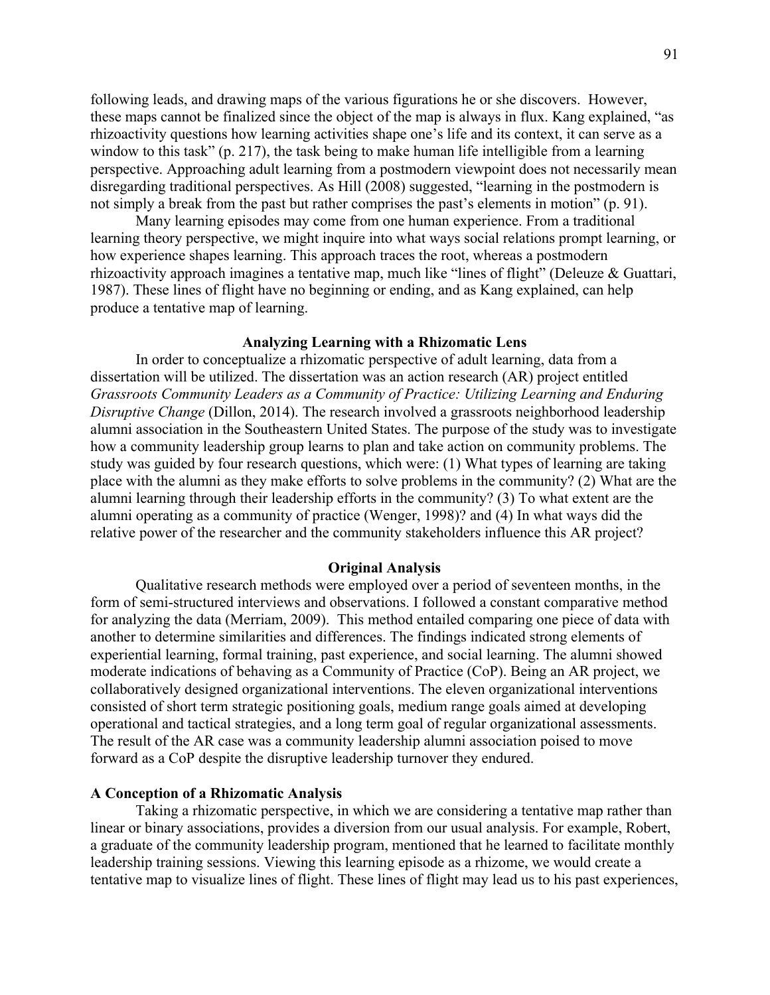following leads, and drawing maps of the various figurations he or she discovers. However, these maps cannot be finalized since the object of the map is always in flux. Kang explained, "as rhizoactivity questions how learning activities shape one's life and its context, it can serve as a window to this task" (p. 217), the task being to make human life intelligible from a learning perspective. Approaching adult learning from a postmodern viewpoint does not necessarily mean disregarding traditional perspectives. As Hill (2008) suggested, "learning in the postmodern is not simply a break from the past but rather comprises the past's elements in motion" (p. 91).

Many learning episodes may come from one human experience. From a traditional learning theory perspective, we might inquire into what ways social relations prompt learning, or how experience shapes learning. This approach traces the root, whereas a postmodern rhizoactivity approach imagines a tentative map, much like "lines of flight" (Deleuze & Guattari, 1987). These lines of flight have no beginning or ending, and as Kang explained, can help produce a tentative map of learning.

## **Analyzing Learning with a Rhizomatic Lens**

In order to conceptualize a rhizomatic perspective of adult learning, data from a dissertation will be utilized. The dissertation was an action research (AR) project entitled *Grassroots Community Leaders as a Community of Practice: Utilizing Learning and Enduring Disruptive Change* (Dillon, 2014). The research involved a grassroots neighborhood leadership alumni association in the Southeastern United States. The purpose of the study was to investigate how a community leadership group learns to plan and take action on community problems. The study was guided by four research questions, which were: (1) What types of learning are taking place with the alumni as they make efforts to solve problems in the community? (2) What are the alumni learning through their leadership efforts in the community? (3) To what extent are the alumni operating as a community of practice (Wenger, 1998)? and (4) In what ways did the relative power of the researcher and the community stakeholders influence this AR project?

## **Original Analysis**

Qualitative research methods were employed over a period of seventeen months, in the form of semi-structured interviews and observations. I followed a constant comparative method for analyzing the data (Merriam, 2009). This method entailed comparing one piece of data with another to determine similarities and differences. The findings indicated strong elements of experiential learning, formal training, past experience, and social learning. The alumni showed moderate indications of behaving as a Community of Practice (CoP). Being an AR project, we collaboratively designed organizational interventions. The eleven organizational interventions consisted of short term strategic positioning goals, medium range goals aimed at developing operational and tactical strategies, and a long term goal of regular organizational assessments. The result of the AR case was a community leadership alumni association poised to move forward as a CoP despite the disruptive leadership turnover they endured.

#### **A Conception of a Rhizomatic Analysis**

Taking a rhizomatic perspective, in which we are considering a tentative map rather than linear or binary associations, provides a diversion from our usual analysis. For example, Robert, a graduate of the community leadership program, mentioned that he learned to facilitate monthly leadership training sessions. Viewing this learning episode as a rhizome, we would create a tentative map to visualize lines of flight. These lines of flight may lead us to his past experiences,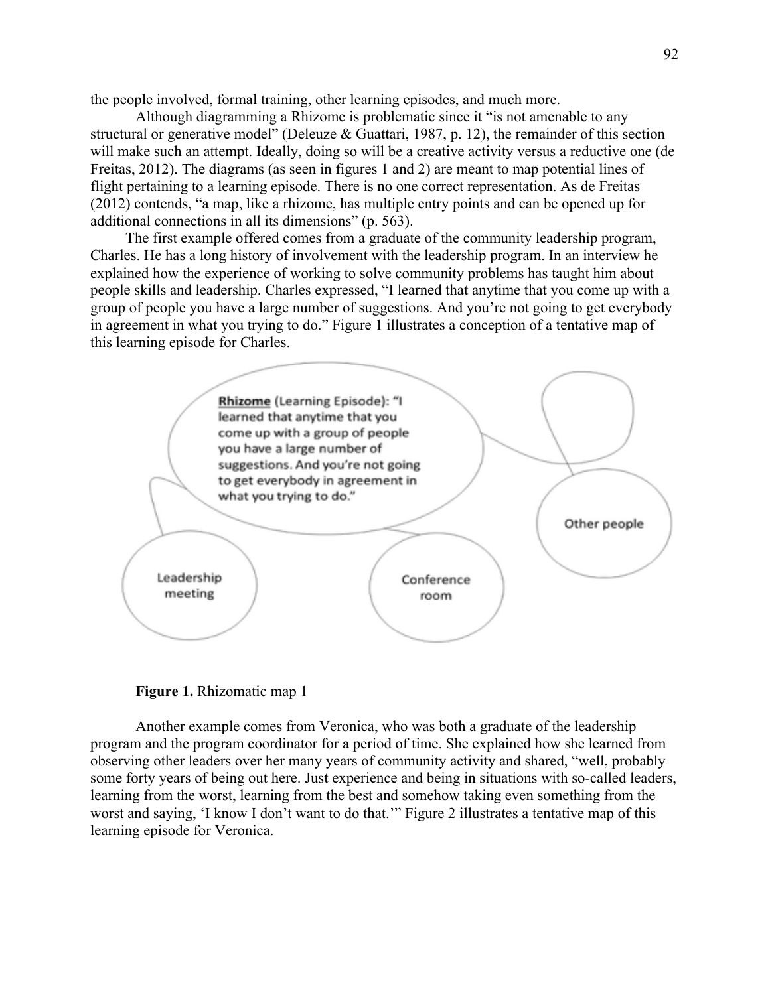the people involved, formal training, other learning episodes, and much more.

Although diagramming a Rhizome is problematic since it "is not amenable to any structural or generative model" (Deleuze & Guattari, 1987, p. 12), the remainder of this section will make such an attempt. Ideally, doing so will be a creative activity versus a reductive one (de Freitas, 2012). The diagrams (as seen in figures 1 and 2) are meant to map potential lines of flight pertaining to a learning episode. There is no one correct representation. As de Freitas (2012) contends, "a map, like a rhizome, has multiple entry points and can be opened up for additional connections in all its dimensions" (p. 563).

The first example offered comes from a graduate of the community leadership program, Charles. He has a long history of involvement with the leadership program. In an interview he explained how the experience of working to solve community problems has taught him about people skills and leadership. Charles expressed, "I learned that anytime that you come up with a group of people you have a large number of suggestions. And you're not going to get everybody in agreement in what you trying to do." Figure 1 illustrates a conception of a tentative map of this learning episode for Charles.





Another example comes from Veronica, who was both a graduate of the leadership program and the program coordinator for a period of time. She explained how she learned from observing other leaders over her many years of community activity and shared, "well, probably some forty years of being out here. Just experience and being in situations with so-called leaders, learning from the worst, learning from the best and somehow taking even something from the worst and saying, 'I know I don't want to do that.'" Figure 2 illustrates a tentative map of this learning episode for Veronica.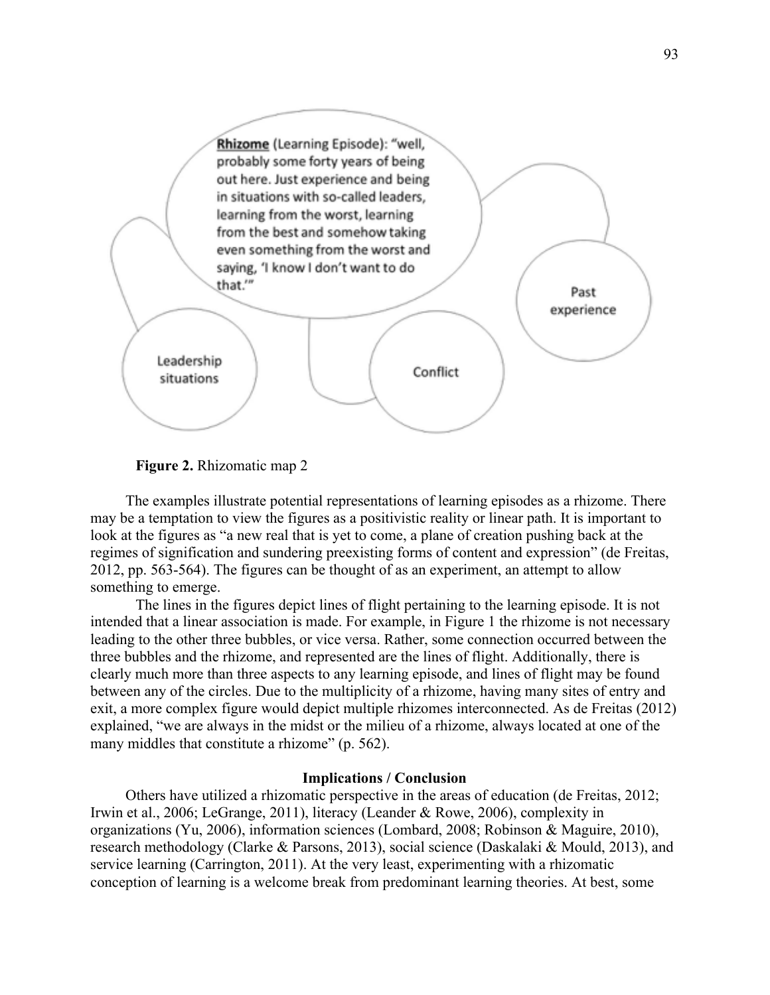

**Figure 2.** Rhizomatic map 2

The examples illustrate potential representations of learning episodes as a rhizome. There may be a temptation to view the figures as a positivistic reality or linear path. It is important to look at the figures as "a new real that is yet to come, a plane of creation pushing back at the regimes of signification and sundering preexisting forms of content and expression" (de Freitas, 2012, pp. 563-564). The figures can be thought of as an experiment, an attempt to allow something to emerge.

The lines in the figures depict lines of flight pertaining to the learning episode. It is not intended that a linear association is made. For example, in Figure 1 the rhizome is not necessary leading to the other three bubbles, or vice versa. Rather, some connection occurred between the three bubbles and the rhizome, and represented are the lines of flight. Additionally, there is clearly much more than three aspects to any learning episode, and lines of flight may be found between any of the circles. Due to the multiplicity of a rhizome, having many sites of entry and exit, a more complex figure would depict multiple rhizomes interconnected. As de Freitas (2012) explained, "we are always in the midst or the milieu of a rhizome, always located at one of the many middles that constitute a rhizome" (p. 562).

## **Implications / Conclusion**

Others have utilized a rhizomatic perspective in the areas of education (de Freitas, 2012; Irwin et al., 2006; LeGrange, 2011), literacy (Leander & Rowe, 2006), complexity in organizations (Yu, 2006), information sciences (Lombard, 2008; Robinson & Maguire, 2010), research methodology (Clarke & Parsons, 2013), social science (Daskalaki & Mould, 2013), and service learning (Carrington, 2011). At the very least, experimenting with a rhizomatic conception of learning is a welcome break from predominant learning theories. At best, some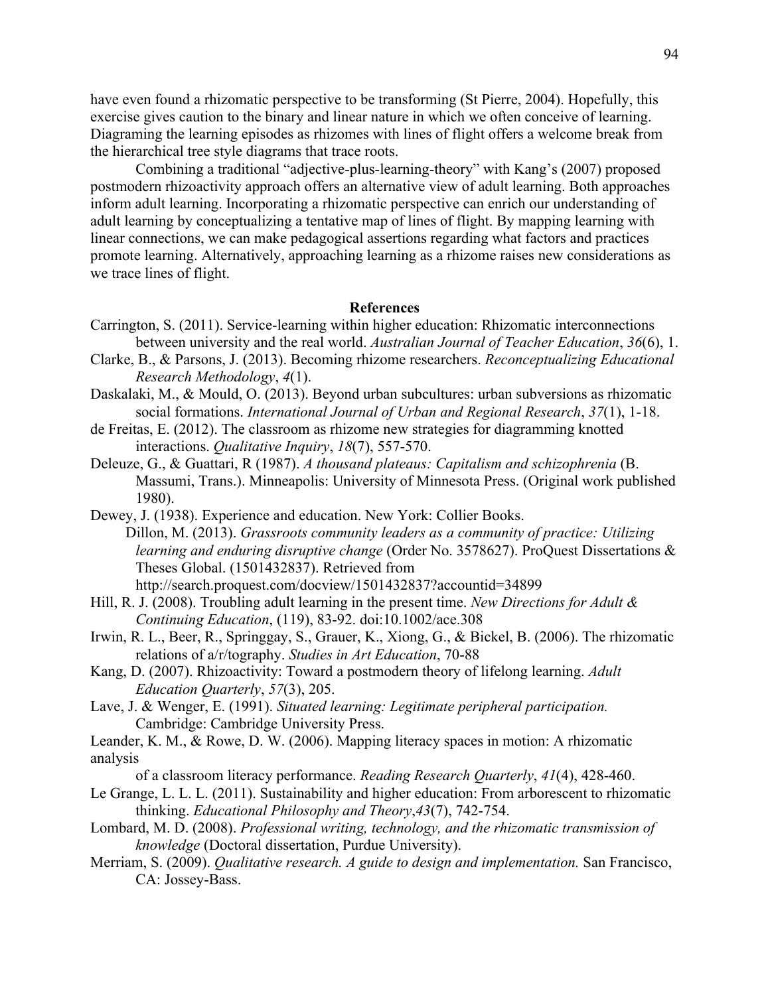have even found a rhizomatic perspective to be transforming (St Pierre, 2004). Hopefully, this exercise gives caution to the binary and linear nature in which we often conceive of learning. Diagraming the learning episodes as rhizomes with lines of flight offers a welcome break from the hierarchical tree style diagrams that trace roots.

Combining a traditional "adjective-plus-learning-theory" with Kang's (2007) proposed postmodern rhizoactivity approach offers an alternative view of adult learning. Both approaches inform adult learning. Incorporating a rhizomatic perspective can enrich our understanding of adult learning by conceptualizing a tentative map of lines of flight. By mapping learning with linear connections, we can make pedagogical assertions regarding what factors and practices promote learning. Alternatively, approaching learning as a rhizome raises new considerations as we trace lines of flight.

## **References**

- Carrington, S. (2011). Service-learning within higher education: Rhizomatic interconnections between university and the real world. *Australian Journal of Teacher Education*, *36*(6), 1.
- Clarke, B., & Parsons, J. (2013). Becoming rhizome researchers. *Reconceptualizing Educational Research Methodology*, *4*(1).
- Daskalaki, M., & Mould, O. (2013). Beyond urban subcultures: urban subversions as rhizomatic social formations. *International Journal of Urban and Regional Research*, *37*(1), 1-18.
- de Freitas, E. (2012). The classroom as rhizome new strategies for diagramming knotted interactions. *Qualitative Inquiry*, *18*(7), 557-570.
- Deleuze, G., & Guattari, R (1987). *A thousand plateaus: Capitalism and schizophrenia* (B. Massumi, Trans.). Minneapolis: University of Minnesota Press. (Original work published 1980).
- Dewey, J. (1938). Experience and education. New York: Collier Books. Dillon, M. (2013). *Grassroots community leaders as a community of practice: Utilizing learning and enduring disruptive change* (Order No. 3578627). ProQuest Dissertations & Theses Global. (1501432837). Retrieved from http://search.proquest.com/docview/1501432837?accountid=34899
- Hill, R. J. (2008). Troubling adult learning in the present time. *New Directions for Adult & Continuing Education*, (119), 83-92. doi:10.1002/ace.308
- Irwin, R. L., Beer, R., Springgay, S., Grauer, K., Xiong, G., & Bickel, B. (2006). The rhizomatic relations of a/r/tography. *Studies in Art Education*, 70-88
- Kang, D. (2007). Rhizoactivity: Toward a postmodern theory of lifelong learning. *Adult Education Quarterly*, *57*(3), 205.
- Lave, J. & Wenger, E. (1991). *Situated learning: Legitimate peripheral participation.*  Cambridge: Cambridge University Press.
- Leander, K. M., & Rowe, D. W. (2006). Mapping literacy spaces in motion: A rhizomatic analysis

of a classroom literacy performance. *Reading Research Quarterly*, *41*(4), 428-460.

- Le Grange, L. L. L. (2011). Sustainability and higher education: From arborescent to rhizomatic thinking. *Educational Philosophy and Theory*,*43*(7), 742-754.
- Lombard, M. D. (2008). *Professional writing, technology, and the rhizomatic transmission of knowledge* (Doctoral dissertation, Purdue University).
- Merriam, S. (2009). *Qualitative research. A guide to design and implementation.* San Francisco, CA: Jossey-Bass.